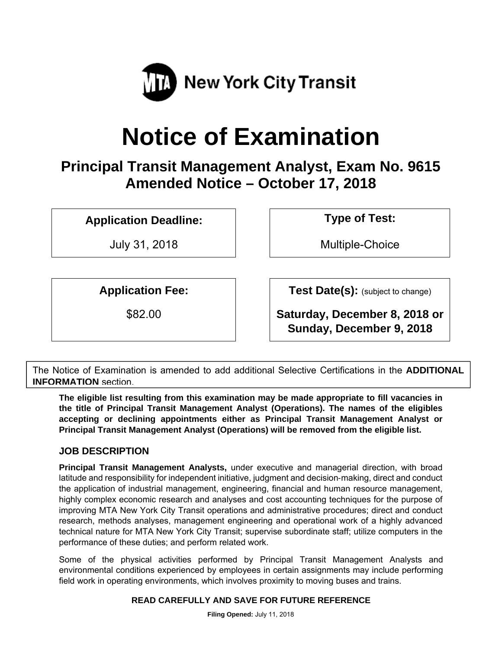

# **Notice of Examination**

**Principal Transit Management Analyst, Exam No. 9615 Amended Notice – October 17, 2018** 

**Application Deadline: Type of Test:** 

July 31, 2018 Multiple-Choice

**Application Fee:**  $\vert$  **Test Date(s):** (subject to change)

\$82.00 **Saturday, December 8, 2018 or Sunday, December 9, 2018** 

The Notice of Examination is amended to add additional Selective Certifications in the **ADDITIONAL INFORMATION** section.

**The eligible list resulting from this examination may be made appropriate to fill vacancies in the title of Principal Transit Management Analyst (Operations). The names of the eligibles accepting or declining appointments either as Principal Transit Management Analyst or Principal Transit Management Analyst (Operations) will be removed from the eligible list.** 

# **JOB DESCRIPTION**

**Principal Transit Management Analysts,** under executive and managerial direction, with broad latitude and responsibility for independent initiative, judgment and decision‐making, direct and conduct the application of industrial management, engineering, financial and human resource management, highly complex economic research and analyses and cost accounting techniques for the purpose of improving MTA New York City Transit operations and administrative procedures; direct and conduct research, methods analyses, management engineering and operational work of a highly advanced technical nature for MTA New York City Transit; supervise subordinate staff; utilize computers in the performance of these duties; and perform related work.

Some of the physical activities performed by Principal Transit Management Analysts and environmental conditions experienced by employees in certain assignments may include performing field work in operating environments, which involves proximity to moving buses and trains.

## **READ CAREFULLY AND SAVE FOR FUTURE REFERENCE**

**Filing Opened:** July 11, 2018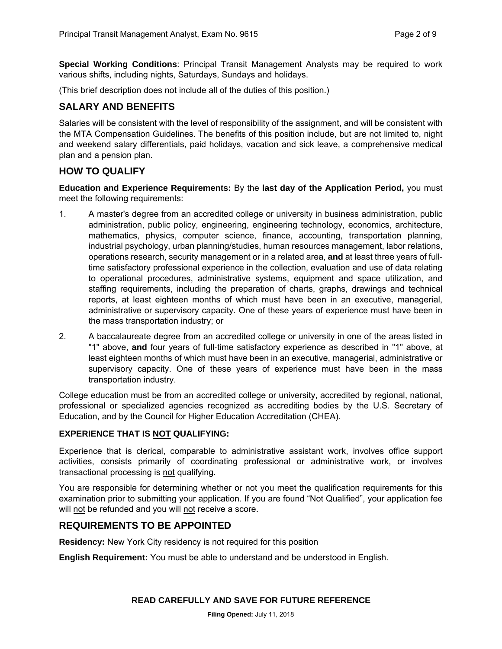**Special Working Conditions**: Principal Transit Management Analysts may be required to work various shifts, including nights, Saturdays, Sundays and holidays.

(This brief description does not include all of the duties of this position.)

#### **SALARY AND BENEFITS**

Salaries will be consistent with the level of responsibility of the assignment, and will be consistent with the MTA Compensation Guidelines. The benefits of this position include, but are not limited to, night and weekend salary differentials, paid holidays, vacation and sick leave, a comprehensive medical plan and a pension plan.

## **HOW TO QUALIFY**

**Education and Experience Requirements:** By the **last day of the Application Period,** you must meet the following requirements:

- 1. A masterʹs degree from an accredited college or university in business administration, public administration, public policy, engineering, engineering technology, economics, architecture, mathematics, physics, computer science, finance, accounting, transportation planning, industrial psychology, urban planning/studies, human resources management, labor relations, operations research, security management or in a related area, **and** at least three years of full‐ time satisfactory professional experience in the collection, evaluation and use of data relating to operational procedures, administrative systems, equipment and space utilization, and staffing requirements, including the preparation of charts, graphs, drawings and technical reports, at least eighteen months of which must have been in an executive, managerial, administrative or supervisory capacity. One of these years of experience must have been in the mass transportation industry; or
- 2. A baccalaureate degree from an accredited college or university in one of the areas listed in "1" above, and four years of full-time satisfactory experience as described in "1" above, at least eighteen months of which must have been in an executive, managerial, administrative or supervisory capacity. One of these years of experience must have been in the mass transportation industry.

College education must be from an accredited college or university, accredited by regional, national, professional or specialized agencies recognized as accrediting bodies by the U.S. Secretary of Education, and by the Council for Higher Education Accreditation (CHEA).

#### **EXPERIENCE THAT IS NOT QUALIFYING:**

Experience that is clerical, comparable to administrative assistant work, involves office support activities, consists primarily of coordinating professional or administrative work, or involves transactional processing is not qualifying.

You are responsible for determining whether or not you meet the qualification requirements for this examination prior to submitting your application. If you are found "Not Qualified", your application fee will not be refunded and you will not receive a score.

## **REQUIREMENTS TO BE APPOINTED**

**Residency:** New York City residency is not required for this position

**English Requirement:** You must be able to understand and be understood in English.

#### **READ CAREFULLY AND SAVE FOR FUTURE REFERENCE**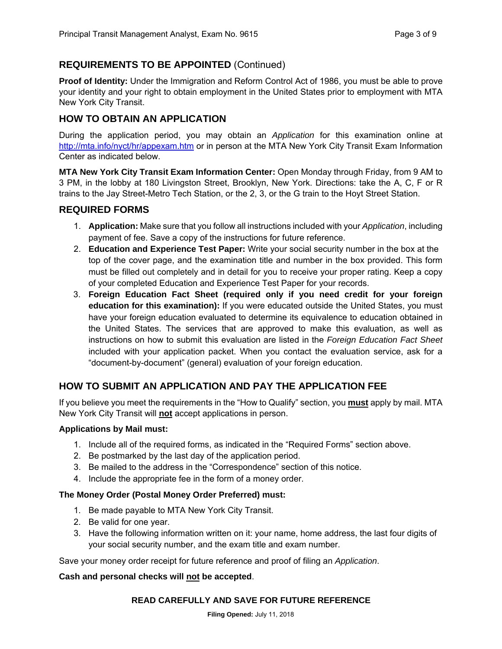# **REQUIREMENTS TO BE APPOINTED** (Continued)

**Proof of Identity:** Under the Immigration and Reform Control Act of 1986, you must be able to prove your identity and your right to obtain employment in the United States prior to employment with MTA New York City Transit.

# **HOW TO OBTAIN AN APPLICATION**

During the application period, you may obtain an *Application* for this examination online at http://mta.info/nyct/hr/appexam.htm or in person at the MTA New York City Transit Exam Information Center as indicated below.

**MTA New York City Transit Exam Information Center:** Open Monday through Friday, from 9 AM to 3 PM, in the lobby at 180 Livingston Street, Brooklyn, New York. Directions: take the A, C, F or R trains to the Jay Street-Metro Tech Station, or the 2, 3, or the G train to the Hoyt Street Station.

## **REQUIRED FORMS**

- 1. **Application:** Make sure that you follow all instructions included with your *Application*, including payment of fee. Save a copy of the instructions for future reference.
- 2. **Education and Experience Test Paper:** Write your social security number in the box at the top of the cover page, and the examination title and number in the box provided. This form must be filled out completely and in detail for you to receive your proper rating. Keep a copy of your completed Education and Experience Test Paper for your records.
- 3. **Foreign Education Fact Sheet (required only if you need credit for your foreign education for this examination):** If you were educated outside the United States, you must have your foreign education evaluated to determine its equivalence to education obtained in the United States. The services that are approved to make this evaluation, as well as instructions on how to submit this evaluation are listed in the *Foreign Education Fact Sheet* included with your application packet. When you contact the evaluation service, ask for a "document-by-document" (general) evaluation of your foreign education.

# **HOW TO SUBMIT AN APPLICATION AND PAY THE APPLICATION FEE**

If you believe you meet the requirements in the "How to Qualify" section, you **must** apply by mail. MTA New York City Transit will **not** accept applications in person.

#### **Applications by Mail must:**

- 1. Include all of the required forms, as indicated in the "Required Forms" section above.
- 2. Be postmarked by the last day of the application period.
- 3. Be mailed to the address in the "Correspondence" section of this notice.
- 4. Include the appropriate fee in the form of a money order.

#### **The Money Order (Postal Money Order Preferred) must:**

- 1. Be made payable to MTA New York City Transit.
- 2. Be valid for one year.
- 3. Have the following information written on it: your name, home address, the last four digits of your social security number, and the exam title and exam number.

Save your money order receipt for future reference and proof of filing an *Application*.

#### **Cash and personal checks will not be accepted**.

#### **READ CAREFULLY AND SAVE FOR FUTURE REFERENCE**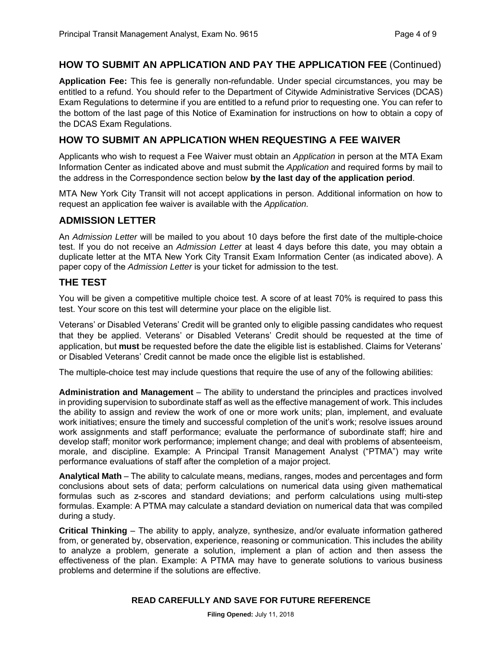#### **HOW TO SUBMIT AN APPLICATION AND PAY THE APPLICATION FEE** (Continued)

**Application Fee:** This fee is generally non-refundable. Under special circumstances, you may be entitled to a refund. You should refer to the Department of Citywide Administrative Services (DCAS) Exam Regulations to determine if you are entitled to a refund prior to requesting one. You can refer to the bottom of the last page of this Notice of Examination for instructions on how to obtain a copy of the DCAS Exam Regulations.

#### **HOW TO SUBMIT AN APPLICATION WHEN REQUESTING A FEE WAIVER**

Applicants who wish to request a Fee Waiver must obtain an *Application* in person at the MTA Exam Information Center as indicated above and must submit the *Application* and required forms by mail to the address in the Correspondence section below **by the last day of the application period**.

MTA New York City Transit will not accept applications in person. Additional information on how to request an application fee waiver is available with the *Application.*

#### **ADMISSION LETTER**

An *Admission Letter* will be mailed to you about 10 days before the first date of the multiple-choice test. If you do not receive an *Admission Letter* at least 4 days before this date, you may obtain a duplicate letter at the MTA New York City Transit Exam Information Center (as indicated above). A paper copy of the *Admission Letter* is your ticket for admission to the test.

#### **THE TEST**

You will be given a competitive multiple choice test. A score of at least 70% is required to pass this test. Your score on this test will determine your place on the eligible list.

Veterans' or Disabled Veterans' Credit will be granted only to eligible passing candidates who request that they be applied. Veterans' or Disabled Veterans' Credit should be requested at the time of application, but **must** be requested before the date the eligible list is established. Claims for Veterans' or Disabled Veterans' Credit cannot be made once the eligible list is established.

The multiple-choice test may include questions that require the use of any of the following abilities:

**Administration and Management** – The ability to understand the principles and practices involved in providing supervision to subordinate staff as well as the effective management of work. This includes the ability to assign and review the work of one or more work units; plan, implement, and evaluate work initiatives; ensure the timely and successful completion of the unit's work; resolve issues around work assignments and staff performance; evaluate the performance of subordinate staff; hire and develop staff; monitor work performance; implement change; and deal with problems of absenteeism, morale, and discipline. Example: A Principal Transit Management Analyst ("PTMA") may write performance evaluations of staff after the completion of a major project.

**Analytical Math** – The ability to calculate means, medians, ranges, modes and percentages and form conclusions about sets of data; perform calculations on numerical data using given mathematical formulas such as z-scores and standard deviations; and perform calculations using multi-step formulas. Example: A PTMA may calculate a standard deviation on numerical data that was compiled during a study.

**Critical Thinking** – The ability to apply, analyze, synthesize, and/or evaluate information gathered from, or generated by, observation, experience, reasoning or communication. This includes the ability to analyze a problem, generate a solution, implement a plan of action and then assess the effectiveness of the plan. Example: A PTMA may have to generate solutions to various business problems and determine if the solutions are effective.

#### **READ CAREFULLY AND SAVE FOR FUTURE REFERENCE**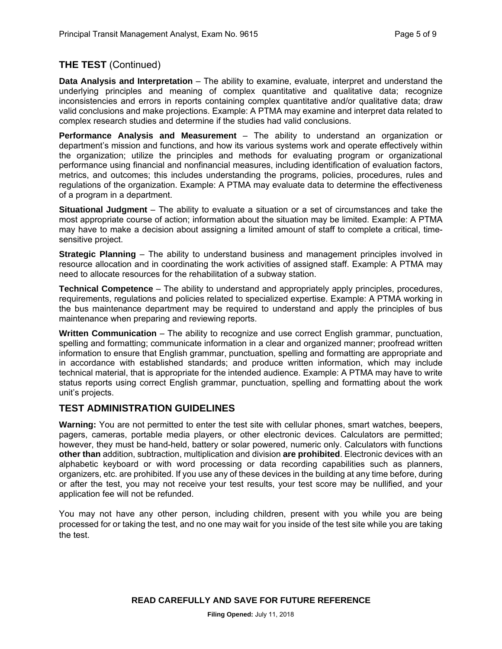# **THE TEST** (Continued)

**Data Analysis and Interpretation** – The ability to examine, evaluate, interpret and understand the underlying principles and meaning of complex quantitative and qualitative data; recognize inconsistencies and errors in reports containing complex quantitative and/or qualitative data; draw valid conclusions and make projections. Example: A PTMA may examine and interpret data related to complex research studies and determine if the studies had valid conclusions.

**Performance Analysis and Measurement** – The ability to understand an organization or department's mission and functions, and how its various systems work and operate effectively within the organization; utilize the principles and methods for evaluating program or organizational performance using financial and nonfinancial measures, including identification of evaluation factors, metrics, and outcomes; this includes understanding the programs, policies, procedures, rules and regulations of the organization. Example: A PTMA may evaluate data to determine the effectiveness of a program in a department.

**Situational Judgment** – The ability to evaluate a situation or a set of circumstances and take the most appropriate course of action; information about the situation may be limited. Example: A PTMA may have to make a decision about assigning a limited amount of staff to complete a critical, timesensitive project.

**Strategic Planning** – The ability to understand business and management principles involved in resource allocation and in coordinating the work activities of assigned staff. Example: A PTMA may need to allocate resources for the rehabilitation of a subway station.

**Technical Competence** – The ability to understand and appropriately apply principles, procedures, requirements, regulations and policies related to specialized expertise. Example: A PTMA working in the bus maintenance department may be required to understand and apply the principles of bus maintenance when preparing and reviewing reports.

**Written Communication** – The ability to recognize and use correct English grammar, punctuation, spelling and formatting; communicate information in a clear and organized manner; proofread written information to ensure that English grammar, punctuation, spelling and formatting are appropriate and in accordance with established standards; and produce written information, which may include technical material, that is appropriate for the intended audience. Example: A PTMA may have to write status reports using correct English grammar, punctuation, spelling and formatting about the work unit's projects.

## **TEST ADMINISTRATION GUIDELINES**

**Warning:** You are not permitted to enter the test site with cellular phones, smart watches, beepers, pagers, cameras, portable media players, or other electronic devices. Calculators are permitted; however, they must be hand-held, battery or solar powered, numeric only. Calculators with functions **other than** addition, subtraction, multiplication and division **are prohibited**. Electronic devices with an alphabetic keyboard or with word processing or data recording capabilities such as planners, organizers, etc. are prohibited. If you use any of these devices in the building at any time before, during or after the test, you may not receive your test results, your test score may be nullified, and your application fee will not be refunded.

You may not have any other person, including children, present with you while you are being processed for or taking the test, and no one may wait for you inside of the test site while you are taking the test.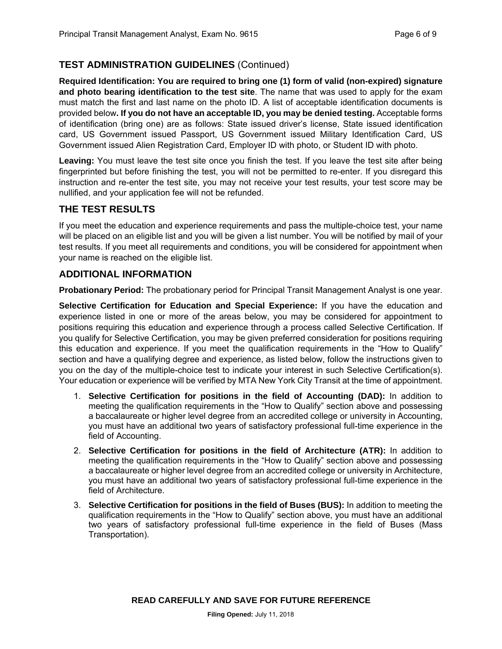## **TEST ADMINISTRATION GUIDELINES** (Continued)

**Required Identification: You are required to bring one (1) form of valid (non-expired) signature and photo bearing identification to the test site**. The name that was used to apply for the exam must match the first and last name on the photo ID. A list of acceptable identification documents is provided below**. If you do not have an acceptable ID, you may be denied testing.** Acceptable forms of identification (bring one) are as follows: State issued driver's license, State issued identification card, US Government issued Passport, US Government issued Military Identification Card, US Government issued Alien Registration Card, Employer ID with photo, or Student ID with photo.

**Leaving:** You must leave the test site once you finish the test. If you leave the test site after being fingerprinted but before finishing the test, you will not be permitted to re-enter. If you disregard this instruction and re-enter the test site, you may not receive your test results, your test score may be nullified, and your application fee will not be refunded.

#### **THE TEST RESULTS**

If you meet the education and experience requirements and pass the multiple-choice test, your name will be placed on an eligible list and you will be given a list number. You will be notified by mail of your test results. If you meet all requirements and conditions, you will be considered for appointment when your name is reached on the eligible list.

#### **ADDITIONAL INFORMATION**

**Probationary Period:** The probationary period for Principal Transit Management Analyst is one year.

**Selective Certification for Education and Special Experience:** If you have the education and experience listed in one or more of the areas below, you may be considered for appointment to positions requiring this education and experience through a process called Selective Certification. If you qualify for Selective Certification, you may be given preferred consideration for positions requiring this education and experience. If you meet the qualification requirements in the "How to Qualify" section and have a qualifying degree and experience, as listed below, follow the instructions given to you on the day of the multiple-choice test to indicate your interest in such Selective Certification(s). Your education or experience will be verified by MTA New York City Transit at the time of appointment.

- 1. **Selective Certification for positions in the field of Accounting (DAD):** In addition to meeting the qualification requirements in the "How to Qualify" section above and possessing a baccalaureate or higher level degree from an accredited college or university in Accounting, you must have an additional two years of satisfactory professional full-time experience in the field of Accounting.
- 2. **Selective Certification for positions in the field of Architecture (ATR):** In addition to meeting the qualification requirements in the "How to Qualify" section above and possessing a baccalaureate or higher level degree from an accredited college or university in Architecture, you must have an additional two years of satisfactory professional full-time experience in the field of Architecture.
- 3. **Selective Certification for positions in the field of Buses (BUS):** In addition to meeting the qualification requirements in the "How to Qualify" section above, you must have an additional two years of satisfactory professional full-time experience in the field of Buses (Mass Transportation).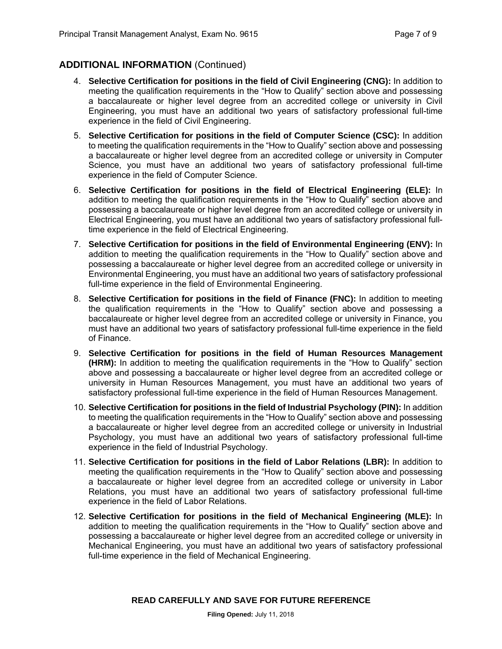## **ADDITIONAL INFORMATION** (Continued)

- 4. **Selective Certification for positions in the field of Civil Engineering (CNG):** In addition to meeting the qualification requirements in the "How to Qualify" section above and possessing a baccalaureate or higher level degree from an accredited college or university in Civil Engineering, you must have an additional two years of satisfactory professional full-time experience in the field of Civil Engineering.
- 5. **Selective Certification for positions in the field of Computer Science (CSC):** In addition to meeting the qualification requirements in the "How to Qualify" section above and possessing a baccalaureate or higher level degree from an accredited college or university in Computer Science, you must have an additional two years of satisfactory professional full-time experience in the field of Computer Science.
- 6. **Selective Certification for positions in the field of Electrical Engineering (ELE):** In addition to meeting the qualification requirements in the "How to Qualify" section above and possessing a baccalaureate or higher level degree from an accredited college or university in Electrical Engineering, you must have an additional two years of satisfactory professional fulltime experience in the field of Electrical Engineering.
- 7. **Selective Certification for positions in the field of Environmental Engineering (ENV):** In addition to meeting the qualification requirements in the "How to Qualify" section above and possessing a baccalaureate or higher level degree from an accredited college or university in Environmental Engineering, you must have an additional two years of satisfactory professional full-time experience in the field of Environmental Engineering.
- 8. **Selective Certification for positions in the field of Finance (FNC):** In addition to meeting the qualification requirements in the "How to Qualify" section above and possessing a baccalaureate or higher level degree from an accredited college or university in Finance, you must have an additional two years of satisfactory professional full-time experience in the field of Finance.
- 9. **Selective Certification for positions in the field of Human Resources Management (HRM):** In addition to meeting the qualification requirements in the "How to Qualify" section above and possessing a baccalaureate or higher level degree from an accredited college or university in Human Resources Management, you must have an additional two years of satisfactory professional full-time experience in the field of Human Resources Management.
- 10. **Selective Certification for positions in the field of Industrial Psychology (PIN):** In addition to meeting the qualification requirements in the "How to Qualify" section above and possessing a baccalaureate or higher level degree from an accredited college or university in Industrial Psychology, you must have an additional two years of satisfactory professional full-time experience in the field of Industrial Psychology.
- 11. **Selective Certification for positions in the field of Labor Relations (LBR):** In addition to meeting the qualification requirements in the "How to Qualify" section above and possessing a baccalaureate or higher level degree from an accredited college or university in Labor Relations, you must have an additional two years of satisfactory professional full-time experience in the field of Labor Relations.
- 12. **Selective Certification for positions in the field of Mechanical Engineering (MLE):** In addition to meeting the qualification requirements in the "How to Qualify" section above and possessing a baccalaureate or higher level degree from an accredited college or university in Mechanical Engineering, you must have an additional two years of satisfactory professional full-time experience in the field of Mechanical Engineering.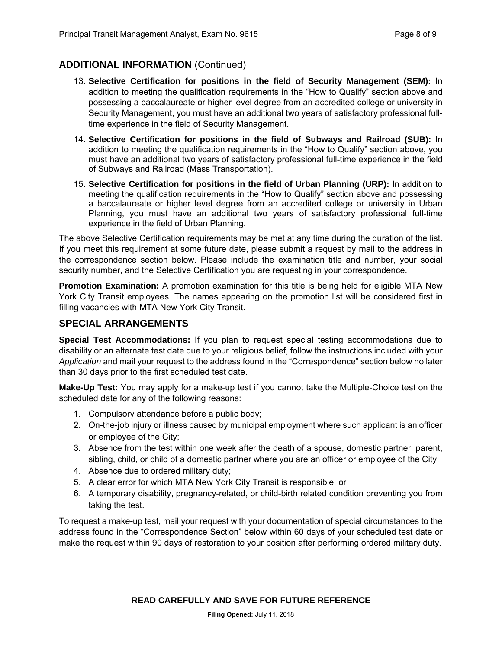## **ADDITIONAL INFORMATION** (Continued)

- 13. **Selective Certification for positions in the field of Security Management (SEM):** In addition to meeting the qualification requirements in the "How to Qualify" section above and possessing a baccalaureate or higher level degree from an accredited college or university in Security Management, you must have an additional two years of satisfactory professional fulltime experience in the field of Security Management.
- 14. **Selective Certification for positions in the field of Subways and Railroad (SUB):** In addition to meeting the qualification requirements in the "How to Qualify" section above, you must have an additional two years of satisfactory professional full-time experience in the field of Subways and Railroad (Mass Transportation).
- 15. **Selective Certification for positions in the field of Urban Planning (URP):** In addition to meeting the qualification requirements in the "How to Qualify" section above and possessing a baccalaureate or higher level degree from an accredited college or university in Urban Planning, you must have an additional two years of satisfactory professional full-time experience in the field of Urban Planning.

The above Selective Certification requirements may be met at any time during the duration of the list. If you meet this requirement at some future date, please submit a request by mail to the address in the correspondence section below. Please include the examination title and number, your social security number, and the Selective Certification you are requesting in your correspondence.

**Promotion Examination:** A promotion examination for this title is being held for eligible MTA New York City Transit employees. The names appearing on the promotion list will be considered first in filling vacancies with MTA New York City Transit.

#### **SPECIAL ARRANGEMENTS**

**Special Test Accommodations:** If you plan to request special testing accommodations due to disability or an alternate test date due to your religious belief, follow the instructions included with your *Application* and mail your request to the address found in the "Correspondence" section below no later than 30 days prior to the first scheduled test date.

**Make-Up Test:** You may apply for a make-up test if you cannot take the Multiple-Choice test on the scheduled date for any of the following reasons:

- 1. Compulsory attendance before a public body;
- 2. On-the-job injury or illness caused by municipal employment where such applicant is an officer or employee of the City;
- 3. Absence from the test within one week after the death of a spouse, domestic partner, parent, sibling, child, or child of a domestic partner where you are an officer or employee of the City;
- 4. Absence due to ordered military duty;
- 5. A clear error for which MTA New York City Transit is responsible; or
- 6. A temporary disability, pregnancy-related, or child-birth related condition preventing you from taking the test.

To request a make-up test, mail your request with your documentation of special circumstances to the address found in the "Correspondence Section" below within 60 days of your scheduled test date or make the request within 90 days of restoration to your position after performing ordered military duty.